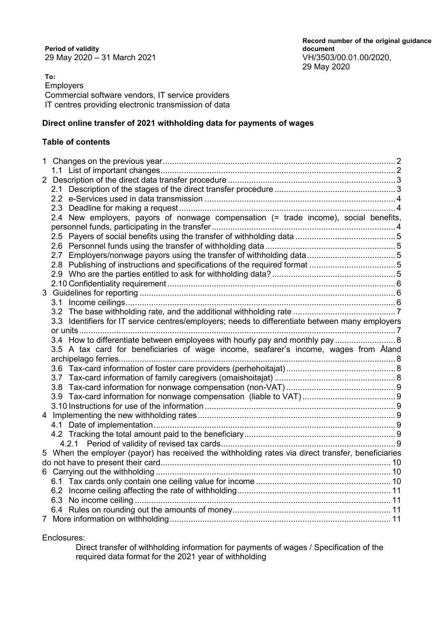**Period of validity** 29 May 2020 – 31 March 2021 VH/3503/00.01.00/2020,

**To:** Employers Commercial software vendors, IT service providers IT centres providing electronic transmission of data

#### **Direct online transfer of 2021 withholding data for payments of wages**

#### **Table of contents**

| 1 |  |                                                                                                   |  |  |
|---|--|---------------------------------------------------------------------------------------------------|--|--|
|   |  |                                                                                                   |  |  |
|   |  |                                                                                                   |  |  |
|   |  |                                                                                                   |  |  |
|   |  |                                                                                                   |  |  |
|   |  |                                                                                                   |  |  |
|   |  | 2.4 New employers, payors of nonwage compensation (= trade income), social benefits,              |  |  |
|   |  |                                                                                                   |  |  |
|   |  |                                                                                                   |  |  |
|   |  |                                                                                                   |  |  |
|   |  |                                                                                                   |  |  |
|   |  |                                                                                                   |  |  |
|   |  |                                                                                                   |  |  |
|   |  |                                                                                                   |  |  |
|   |  |                                                                                                   |  |  |
|   |  |                                                                                                   |  |  |
|   |  |                                                                                                   |  |  |
|   |  | 3.3 Identifiers for IT service centres/employers; needs to differentiate between many employers   |  |  |
|   |  |                                                                                                   |  |  |
|   |  | 3.4 How to differentiate between employees with hourly pay and monthly pay  8                     |  |  |
|   |  | 3.5 A tax card for beneficiaries of wage income, seafarer's income, wages from Åland              |  |  |
|   |  |                                                                                                   |  |  |
|   |  |                                                                                                   |  |  |
|   |  |                                                                                                   |  |  |
|   |  |                                                                                                   |  |  |
|   |  |                                                                                                   |  |  |
|   |  |                                                                                                   |  |  |
|   |  |                                                                                                   |  |  |
|   |  |                                                                                                   |  |  |
|   |  |                                                                                                   |  |  |
|   |  |                                                                                                   |  |  |
|   |  | 5 When the employer (payor) has received the withholding rates via direct transfer, beneficiaries |  |  |
|   |  |                                                                                                   |  |  |
|   |  |                                                                                                   |  |  |
|   |  |                                                                                                   |  |  |
|   |  |                                                                                                   |  |  |
|   |  |                                                                                                   |  |  |
|   |  |                                                                                                   |  |  |
|   |  |                                                                                                   |  |  |

Enclosures:

Direct transfer of withholding information for payments of wages / Specification of the required data format for the 2021 year of withholding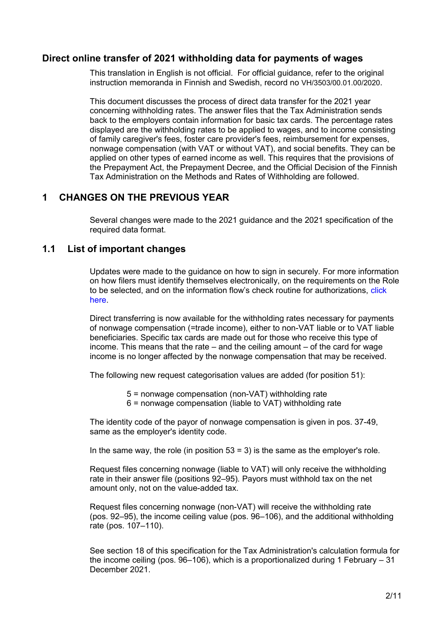#### **Direct online transfer of 2021 withholding data for payments of wages**

This translation in English is not official. For official guidance, refer to the original instruction memoranda in Finnish and Swedish, record no VH/3503/00.01.00/2020.

This document discusses the process of direct data transfer for the 2021 year concerning withholding rates. The answer files that the Tax Administration sends back to the employers contain information for basic tax cards. The percentage rates displayed are the withholding rates to be applied to wages, and to income consisting of family caregiver's fees, foster care provider's fees, reimbursement for expenses, nonwage compensation (with VAT or without VAT), and social benefits. They can be applied on other types of earned income as well. This requires that the provisions of the Prepayment Act, the Prepayment Decree, and the Official Decision of the Finnish Tax Administration on the Methods and Rates of Withholding are followed.

### <span id="page-1-0"></span>**1 CHANGES ON THE PREVIOUS YEAR**

Several changes were made to the 2021 guidance and the 2021 specification of the required data format.

#### <span id="page-1-1"></span>**1.1 List of important changes**

Updates were made to the guidance on how to sign in securely. For more information on how filers must identify themselves electronically, on the requirements on the Role to be selected, and on the information flow's check routine for authorizations, [click](https://www.ilmoitin.fi/webtamo/sivut/IlmoituslajiRoolit;jsessionid=3E2A091D1B46C512726DAD05C4B96D3D?kieli=en)  [here.](https://www.ilmoitin.fi/webtamo/sivut/IlmoituslajiRoolit;jsessionid=3E2A091D1B46C512726DAD05C4B96D3D?kieli=en)

Direct transferring is now available for the withholding rates necessary for payments of nonwage compensation (=trade income), either to non-VAT liable or to VAT liable beneficiaries. Specific tax cards are made out for those who receive this type of income. This means that the rate  $-$  and the ceiling amount  $-$  of the card for wage income is no longer affected by the nonwage compensation that may be received.

The following new request categorisation values are added (for position 51):

- 5 = nonwage compensation (non-VAT) withholding rate
- 6 = nonwage compensation (liable to VAT) withholding rate

The identity code of the payor of nonwage compensation is given in pos. 37-49, same as the employer's identity code.

In the same way, the role (in position  $53 = 3$ ) is the same as the employer's role.

Request files concerning nonwage (liable to VAT) will only receive the withholding rate in their answer file (positions 92–95). Payors must withhold tax on the net amount only, not on the value-added tax.

Request files concerning nonwage (non-VAT) will receive the withholding rate (pos. 92–95), the income ceiling value (pos. 96–106), and the additional withholding rate (pos. 107–110).

See section 18 of this specification for the Tax Administration's calculation formula for the income ceiling (pos. 96–106), which is a proportionalized during 1 February – 31 December 2021.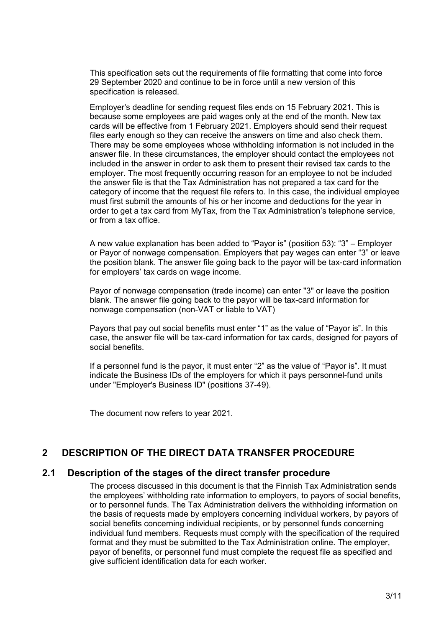This specification sets out the requirements of file formatting that come into force 29 September 2020 and continue to be in force until a new version of this specification is released.

Employer's deadline for sending request files ends on 15 February 2021. This is because some employees are paid wages only at the end of the month. New tax cards will be effective from 1 February 2021. Employers should send their request files early enough so they can receive the answers on time and also check them. There may be some employees whose withholding information is not included in the answer file. In these circumstances, the employer should contact the employees not included in the answer in order to ask them to present their revised tax cards to the employer. The most frequently occurring reason for an employee to not be included the answer file is that the Tax Administration has not prepared a tax card for the category of income that the request file refers to. In this case, the individual employee must first submit the amounts of his or her income and deductions for the year in order to get a tax card from MyTax, from the Tax Administration's telephone service, or from a tax office.

A new value explanation has been added to "Payor is" (position 53): "3" – Employer or Payor of nonwage compensation. Employers that pay wages can enter "3" or leave the position blank. The answer file going back to the payor will be tax-card information for employers' tax cards on wage income.

Payor of nonwage compensation (trade income) can enter "3" or leave the position blank. The answer file going back to the payor will be tax-card information for nonwage compensation (non-VAT or liable to VAT)

Payors that pay out social benefits must enter "1" as the value of "Payor is". In this case, the answer file will be tax-card information for tax cards, designed for payors of social benefits.

If a personnel fund is the payor, it must enter "2" as the value of "Payor is". It must indicate the Business IDs of the employers for which it pays personnel-fund units under "Employer's Business ID" (positions 37-49).

The document now refers to year 2021.

# <span id="page-2-0"></span>**2 DESCRIPTION OF THE DIRECT DATA TRANSFER PROCEDURE**

#### <span id="page-2-1"></span>**2.1 Description of the stages of the direct transfer procedure**

The process discussed in this document is that the Finnish Tax Administration sends the employees' withholding rate information to employers, to payors of social benefits, or to personnel funds. The Tax Administration delivers the withholding information on the basis of requests made by employers concerning individual workers, by payors of social benefits concerning individual recipients, or by personnel funds concerning individual fund members. Requests must comply with the specification of the required format and they must be submitted to the Tax Administration online. The employer, payor of benefits, or personnel fund must complete the request file as specified and give sufficient identification data for each worker.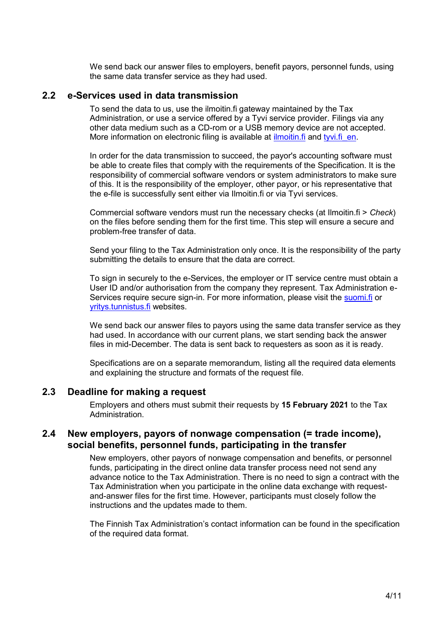We send back our answer files to employers, benefit payors, personnel funds, using the same data transfer service as they had used.

#### <span id="page-3-0"></span>**2.2 e-Services used in data transmission**

To send the data to us, use the ilmoitin.fi gateway maintained by the Tax Administration, or use a service offered by a Tyvi service provider. Filings via any other data medium such as a CD-rom or a USB memory device are not accepted. More information on electronic filing is available at [ilmoitin.fi](https://www.vero.fi/en/About-us/information_and_material_on_taxatio/it_developer/) and [tyvi.fi\\_en.](https://www.tyvi.fi/c/ec/tyvi-r5-auth?s=nUsuvQFxPjdlM7f&_lang=en)

In order for the data transmission to succeed, the payor's accounting software must be able to create files that comply with the requirements of the Specification. It is the responsibility of commercial software vendors or system administrators to make sure of this. It is the responsibility of the employer, other payor, or his representative that the e-file is successfully sent either via Ilmoitin.fi or via Tyvi services.

Commercial software vendors must run the necessary checks (at Ilmoitin.fi > *Check*) on the files before sending them for the first time. This step will ensure a secure and problem-free transfer of data.

Send your filing to the Tax Administration only once. It is the responsibility of the party submitting the details to ensure that the data are correct.

To sign in securely to the e-Services, the employer or IT service centre must obtain a User ID and/or authorisation from the company they represent. Tax Administration eServices require secure sign-in. For more information, please visit the [suomi.fi](https://www.suomi.fi/frontpage) or [yritys.tunnistus.fi](https://yritys.tunnistus.fi/) websites.

We send back our answer files to payors using the same data transfer service as they had used. In accordance with our current plans, we start sending back the answer files in mid-December. The data is sent back to requesters as soon as it is ready.

Specifications are on a separate memorandum, listing all the required data elements and explaining the structure and formats of the request file.

#### <span id="page-3-1"></span>**2.3 Deadline for making a request**

Employers and others must submit their requests by **15 February 2021** to the Tax Administration.

#### <span id="page-3-2"></span>**2.4 New employers, payors of nonwage compensation (= trade income), social benefits, personnel funds, participating in the transfer**

New employers, other payors of nonwage compensation and benefits, or personnel funds, participating in the direct online data transfer process need not send any advance notice to the Tax Administration. There is no need to sign a contract with the Tax Administration when you participate in the online data exchange with requestand-answer files for the first time. However, participants must closely follow the instructions and the updates made to them.

The Finnish Tax Administration's contact information can be found in the specification of the required data format.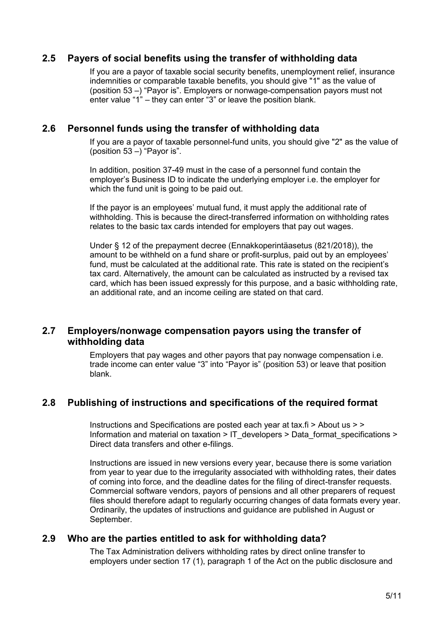### <span id="page-4-0"></span>**2.5 Payers of social benefits using the transfer of withholding data**

If you are a payor of taxable social security benefits, unemployment relief, insurance indemnities or comparable taxable benefits, you should give "1" as the value of (position 53 –) "Payor is". Employers or nonwage-compensation payors must not enter value "1" – they can enter "3" or leave the position blank.

#### <span id="page-4-1"></span>**2.6 Personnel funds using the transfer of withholding data**

If you are a payor of taxable personnel-fund units, you should give "2" as the value of (position  $53 -$ ) "Payor is".

In addition, position 37-49 must in the case of a personnel fund contain the employer's Business ID to indicate the underlying employer i.e. the employer for which the fund unit is going to be paid out.

If the payor is an employees' mutual fund, it must apply the additional rate of withholding. This is because the direct-transferred information on withholding rates relates to the basic tax cards intended for employers that pay out wages.

Under § 12 of the prepayment decree (Ennakkoperintäasetus (821/2018)), the amount to be withheld on a fund share or profit-surplus, paid out by an employees' fund, must be calculated at the additional rate. This rate is stated on the recipient's tax card. Alternatively, the amount can be calculated as instructed by a revised tax card, which has been issued expressly for this purpose, and a basic withholding rate, an additional rate, and an income ceiling are stated on that card.

### <span id="page-4-2"></span>**2.7 Employers/nonwage compensation payors using the transfer of withholding data**

Employers that pay wages and other payors that pay nonwage compensation i.e. trade income can enter value "3" into "Payor is" (position 53) or leave that position blank.

### <span id="page-4-3"></span>**2.8 Publishing of instructions and specifications of the required format**

Instructions and Specifications are posted each year at tax.fi > About us > > Information and material on taxation > [IT\\_developers](http://www.vero.fi/fi-FI/Syventavat_veroohjeet/Sahkoinen_asiointi/Kehittajat) > [Data\\_format\\_specifications](http://www.vero.fi/fi-FI/Syventavat_veroohjeet/Sahkoinen_asiointi/Kehittajat/Tietuekuvaukset) > [Direct data transfers and other e-filings.](https://www.vero.fi/en/About-us/information_and_material_on_taxatio/it_developer/data-format-specifications/specifications__direct_data_transfers_a/)

Instructions are issued in new versions every year, because there is some variation from year to year due to the irregularity associated with withholding rates, their dates of coming into force, and the deadline dates for the filing of direct-transfer requests. Commercial software vendors, payors of pensions and all other preparers of request files should therefore adapt to regularly occurring changes of data formats every year. Ordinarily, the updates of instructions and guidance are published in August or September.

### <span id="page-4-4"></span>**2.9 Who are the parties entitled to ask for withholding data?**

The Tax Administration delivers withholding rates by direct online transfer to employers under section 17 (1), paragraph 1 of the Act on the public disclosure and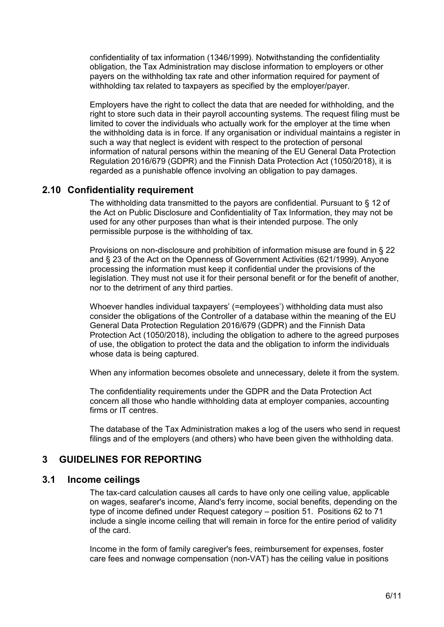confidentiality of tax information (1346/1999). Notwithstanding the confidentiality obligation, the Tax Administration may disclose information to employers or other payers on the withholding tax rate and other information required for payment of withholding tax related to taxpayers as specified by the employer/payer.

Employers have the right to collect the data that are needed for withholding, and the right to store such data in their payroll accounting systems. The request filing must be limited to cover the individuals who actually work for the employer at the time when the withholding data is in force. If any organisation or individual maintains a register in such a way that neglect is evident with respect to the protection of personal information of natural persons within the meaning of the EU General Data Protection Regulation 2016/679 (GDPR) and the Finnish Data Protection Act (1050/2018), it is regarded as a punishable offence involving an obligation to pay damages.

### <span id="page-5-0"></span>**2.10 Confidentiality requirement**

The withholding data transmitted to the payors are confidential. Pursuant to § 12 of the Act on Public Disclosure and Confidentiality of Tax Information, they may not be used for any other purposes than what is their intended purpose. The only permissible purpose is the withholding of tax.

Provisions on non-disclosure and prohibition of information misuse are found in § 22 and § 23 of the Act on the Openness of Government Activities (621/1999). Anyone processing the information must keep it confidential under the provisions of the legislation. They must not use it for their personal benefit or for the benefit of another, nor to the detriment of any third parties.

Whoever handles individual taxpayers' (=employees') withholding data must also consider the obligations of the Controller of a database within the meaning of the EU General Data Protection Regulation 2016/679 (GDPR) and the Finnish Data Protection Act (1050/2018), including the obligation to adhere to the agreed purposes of use, the obligation to protect the data and the obligation to inform the individuals whose data is being captured.

When any information becomes obsolete and unnecessary, delete it from the system.

The confidentiality requirements under the GDPR and the Data Protection Act concern all those who handle withholding data at employer companies, accounting firms or IT centres.

The database of the Tax Administration makes a log of the users who send in request filings and of the employers (and others) who have been given the withholding data.

### <span id="page-5-1"></span>**3 GUIDELINES FOR REPORTING**

#### <span id="page-5-2"></span>**3.1 Income ceilings**

The tax-card calculation causes all cards to have only one ceiling value, applicable on wages, seafarer's income, Åland's ferry income, social benefits, depending on the type of income defined under Request category – position 51. Positions 62 to 71 include a single income ceiling that will remain in force for the entire period of validity of the card.

Income in the form of family caregiver's fees, reimbursement for expenses, foster care fees and nonwage compensation (non-VAT) has the ceiling value in positions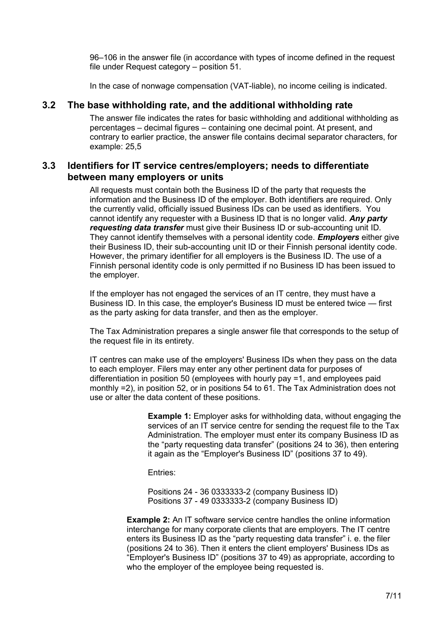96–106 in the answer file (in accordance with types of income defined in the request file under Request category – position 51.

In the case of nonwage compensation (VAT-liable), no income ceiling is indicated.

## <span id="page-6-0"></span>**3.2 The base withholding rate, and the additional withholding rate**

The answer file indicates the rates for basic withholding and additional withholding as percentages – decimal figures – containing one decimal point. At present, and contrary to earlier practice, the answer file contains decimal separator characters, for example: 25,5

## <span id="page-6-1"></span>**3.3 Identifiers for IT service centres/employers; needs to differentiate between many employers or units**

All requests must contain both the Business ID of the party that requests the information and the Business ID of the employer. Both identifiers are required. Only the currently valid, officially issued Business IDs can be used as identifiers. You cannot identify any requester with a Business ID that is no longer valid. *Any party requesting data transfer* must give their Business ID or sub-accounting unit ID. They cannot identify themselves with a personal identity code. *Employers* either give their Business ID, their sub-accounting unit ID or their Finnish personal identity code. However, the primary identifier for all employers is the Business ID. The use of a Finnish personal identity code is only permitted if no Business ID has been issued to the employer.

If the employer has not engaged the services of an IT centre, they must have a Business ID. In this case, the employer's Business ID must be entered twice — first as the party asking for data transfer, and then as the employer.

The Tax Administration prepares a single answer file that corresponds to the setup of the request file in its entirety.

IT centres can make use of the employers' Business IDs when they pass on the data to each employer. Filers may enter any other pertinent data for purposes of differentiation in position 50 (employees with hourly pay =1, and employees paid monthly =2), in position 52, or in positions 54 to 61. The Tax Administration does not use or alter the data content of these positions.

> **Example 1:** Employer asks for withholding data, without engaging the services of an IT service centre for sending the request file to the Tax Administration. The employer must enter its company Business ID as the "party requesting data transfer" (positions 24 to 36), then entering it again as the "Employer's Business ID" (positions 37 to 49).

Entries:

Positions 24 - 36 0333333-2 (company Business ID) Positions 37 - 49 0333333-2 (company Business ID)

**Example 2:** An IT software service centre handles the online information interchange for many corporate clients that are employers. The IT centre enters its Business ID as the "party requesting data transfer" i. e. the filer (positions 24 to 36). Then it enters the client employers' Business IDs as "Employer's Business ID" (positions 37 to 49) as appropriate, according to who the employer of the employee being requested is.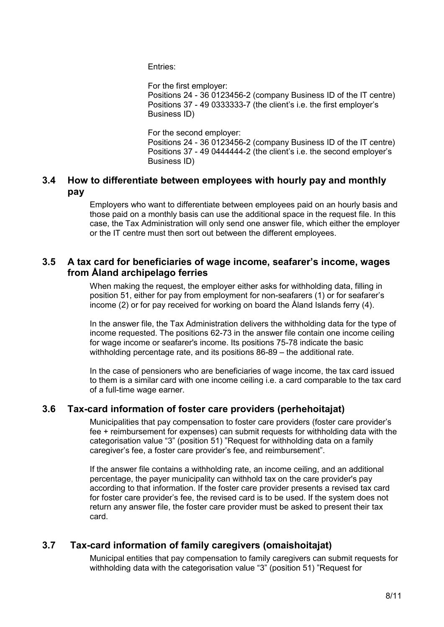Entries:

For the first employer: Positions 24 - 36 0123456-2 (company Business ID of the IT centre) Positions 37 - 49 0333333-7 (the client's i.e. the first employer's Business ID)

For the second employer:

Positions 24 - 36 0123456-2 (company Business ID of the IT centre) Positions 37 - 49 0444444-2 (the client's i.e. the second employer's Business ID)

### <span id="page-7-0"></span>**3.4 How to differentiate between employees with hourly pay and monthly pay**

Employers who want to differentiate between employees paid on an hourly basis and those paid on a monthly basis can use the additional space in the request file. In this case, the Tax Administration will only send one answer file, which either the employer or the IT centre must then sort out between the different employees.

### <span id="page-7-1"></span>**3.5 A tax card for beneficiaries of wage income, seafarer's income, wages from Åland archipelago ferries**

When making the request, the employer either asks for withholding data, filling in position 51, either for pay from employment for non-seafarers (1) or for seafarer's income (2) or for pay received for working on board the Åland Islands ferry (4).

In the answer file, the Tax Administration delivers the withholding data for the type of income requested. The positions 62-73 in the answer file contain one income ceiling for wage income or seafarer's income. Its positions 75-78 indicate the basic withholding percentage rate, and its positions 86-89 – the additional rate.

In the case of pensioners who are beneficiaries of wage income, the tax card issued to them is a similar card with one income ceiling i.e. a card comparable to the tax card of a full-time wage earner.

### <span id="page-7-2"></span>**3.6 Tax-card information of foster care providers (perhehoitajat)**

Municipalities that pay compensation to foster care providers (foster care provider's fee + reimbursement for expenses) can submit requests for withholding data with the categorisation value "3" (position 51) "Request for withholding data on a family caregiver's fee, a foster care provider's fee, and reimbursement".

If the answer file contains a withholding rate, an income ceiling, and an additional percentage, the payer municipality can withhold tax on the care provider's pay according to that information. If the foster care provider presents a revised tax card for foster care provider's fee, the revised card is to be used. If the system does not return any answer file, the foster care provider must be asked to present their tax card.

# <span id="page-7-3"></span>**3.7 Tax-card information of family caregivers (omaishoitajat)**

Municipal entities that pay compensation to family caregivers can submit requests for withholding data with the categorisation value "3" (position 51) "Request for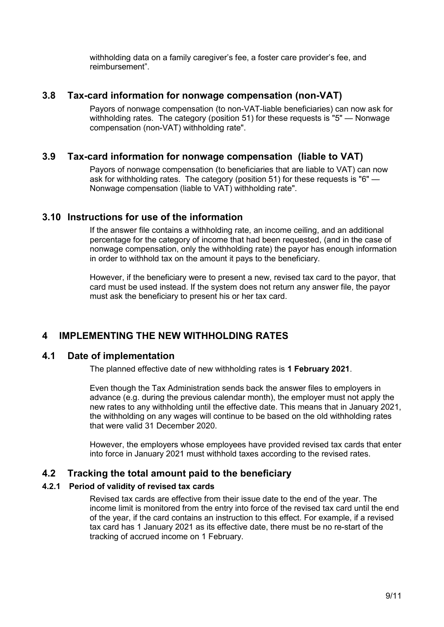withholding data on a family caregiver's fee, a foster care provider's fee, and reimbursement".

#### <span id="page-8-0"></span>**3.8 Tax-card information for nonwage compensation (non-VAT)**

Payors of nonwage compensation (to non-VAT-liable beneficiaries) can now ask for withholding rates. The category (position 51) for these requests is "5" — Nonwage compensation (non-VAT) withholding rate".

### <span id="page-8-1"></span>**3.9 Tax-card information for nonwage compensation (liable to VAT)**

Payors of nonwage compensation (to beneficiaries that are liable to VAT) can now ask for withholding rates. The category (position 51) for these requests is "6" — Nonwage compensation (liable to VAT) withholding rate".

### <span id="page-8-2"></span>**3.10 Instructions for use of the information**

If the answer file contains a withholding rate, an income ceiling, and an additional percentage for the category of income that had been requested, (and in the case of nonwage compensation, only the withholding rate) the payor has enough information in order to withhold tax on the amount it pays to the beneficiary.

However, if the beneficiary were to present a new, revised tax card to the payor, that card must be used instead. If the system does not return any answer file, the payor must ask the beneficiary to present his or her tax card.

# <span id="page-8-3"></span>**4 IMPLEMENTING THE NEW WITHHOLDING RATES**

#### <span id="page-8-4"></span>**4.1 Date of implementation**

The planned effective date of new withholding rates is **1 February 2021**.

Even though the Tax Administration sends back the answer files to employers in advance (e.g. during the previous calendar month), the employer must not apply the new rates to any withholding until the effective date. This means that in January 2021, the withholding on any wages will continue to be based on the old withholding rates that were valid 31 December 2020.

However, the employers whose employees have provided revised tax cards that enter into force in January 2021 must withhold taxes according to the revised rates.

### <span id="page-8-5"></span>**4.2 Tracking the total amount paid to the beneficiary**

#### <span id="page-8-6"></span>**4.2.1 Period of validity of revised tax cards**

Revised tax cards are effective from their issue date to the end of the year. The income limit is monitored from the entry into force of the revised tax card until the end of the year, if the card contains an instruction to this effect. For example, if a revised tax card has 1 January 2021 as its effective date, there must be no re-start of the tracking of accrued income on 1 February.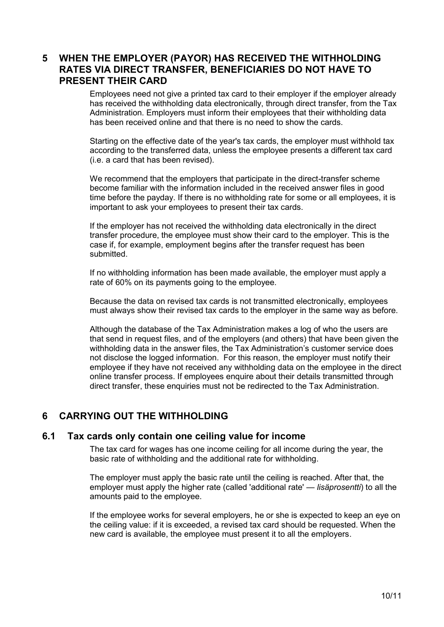## <span id="page-9-0"></span>**5 WHEN THE EMPLOYER (PAYOR) HAS RECEIVED THE WITHHOLDING RATES VIA DIRECT TRANSFER, BENEFICIARIES DO NOT HAVE TO PRESENT THEIR CARD**

Employees need not give a printed tax card to their employer if the employer already has received the withholding data electronically, through direct transfer, from the Tax Administration. Employers must inform their employees that their withholding data has been received online and that there is no need to show the cards.

Starting on the effective date of the year's tax cards, the employer must withhold tax according to the transferred data, unless the employee presents a different tax card (i.e. a card that has been revised).

We recommend that the employers that participate in the direct-transfer scheme become familiar with the information included in the received answer files in good time before the payday. If there is no withholding rate for some or all employees, it is important to ask your employees to present their tax cards.

If the employer has not received the withholding data electronically in the direct transfer procedure, the employee must show their card to the employer. This is the case if, for example, employment begins after the transfer request has been submitted.

If no withholding information has been made available, the employer must apply a rate of 60% on its payments going to the employee.

Because the data on revised tax cards is not transmitted electronically, employees must always show their revised tax cards to the employer in the same way as before.

Although the database of the Tax Administration makes a log of who the users are that send in request files, and of the employers (and others) that have been given the withholding data in the answer files, the Tax Administration's customer service does not disclose the logged information. For this reason, the employer must notify their employee if they have not received any withholding data on the employee in the direct online transfer process. If employees enquire about their details transmitted through direct transfer, these enquiries must not be redirected to the Tax Administration.

# <span id="page-9-1"></span>**6 CARRYING OUT THE WITHHOLDING**

#### <span id="page-9-2"></span>**6.1 Tax cards only contain one ceiling value for income**

The tax card for wages has one income ceiling for all income during the year, the basic rate of withholding and the additional rate for withholding.

The employer must apply the basic rate until the ceiling is reached. After that, the employer must apply the higher rate (called 'additional rate' — *lisäprosentti*) to all the amounts paid to the employee.

If the employee works for several employers, he or she is expected to keep an eye on the ceiling value: if it is exceeded, a revised tax card should be requested. When the new card is available, the employee must present it to all the employers.